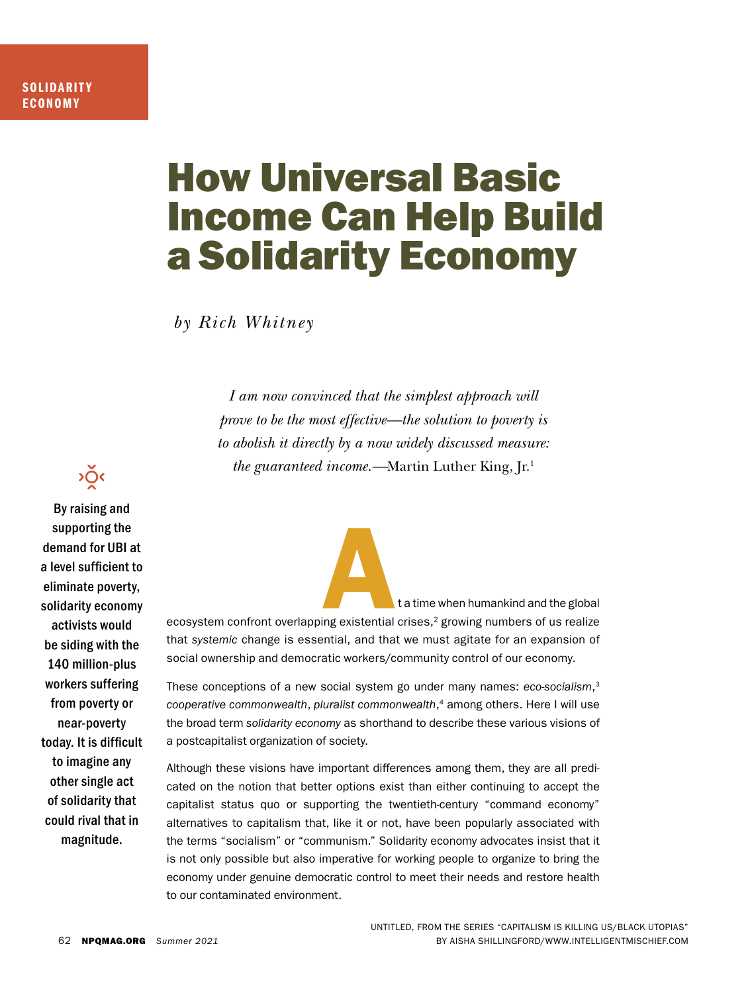### **SOLIDARITY** ECONOMY

# How Universal Basic Income Can Help Build a Solidarity Economy

by Rich Whitney

*I am now convinced that the simplest approach will prove to be the most effective—the solution to poverty is to abolish it directly by a now widely discussed measure: the guaranteed income.*—Martin Luther King,  $\mathbf{r}$ .<sup>1</sup>

By raising and supporting the demand for UBI at a level sufficient to eliminate poverty, solidarity economy activists would be siding with the 140 million-plus workers suffering from poverty or near-poverty today. It is difficult to imagine any other single act of solidarity that could rival that in magnitude.

 $\sum_{i=1}^{n}$ 

At a time when humankind and the global<br>At a time when humankind and the global<br>At a time when humankind and the global ecosystem confront overlapping existential crises,<sup>2</sup> growing numbers of us realize that *systemic* change is essential, and that we must agitate for an expansion of social ownership and democratic workers/community control of our economy.

These conceptions of a new social system go under many names: *eco-socialism*, 3 *cooperative commonwealth*, *pluralist commonwealth*, 4 among others. Here I will use the broad term *solidarity economy* as shorthand to describe these various visions of a postcapitalist organization of society.

Although these visions have important differences among them, they are all predicated on the notion that better options exist than either continuing to accept the capitalist status quo or supporting the twentieth-century "command economy" alternatives to capitalism that, like it or not, have been popularly associated with the terms "socialism" or "communism." Solidarity economy advocates insist that it is not only possible but also imperative for working people to organize to bring the economy under genuine democratic control to meet their needs and restore health to our contaminated environment.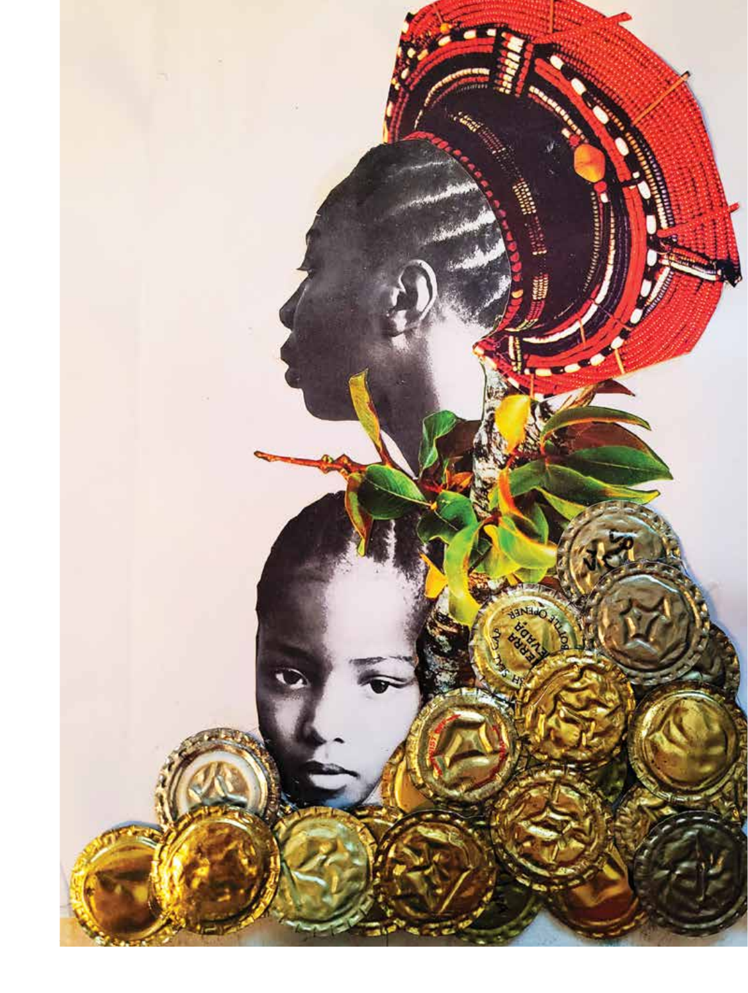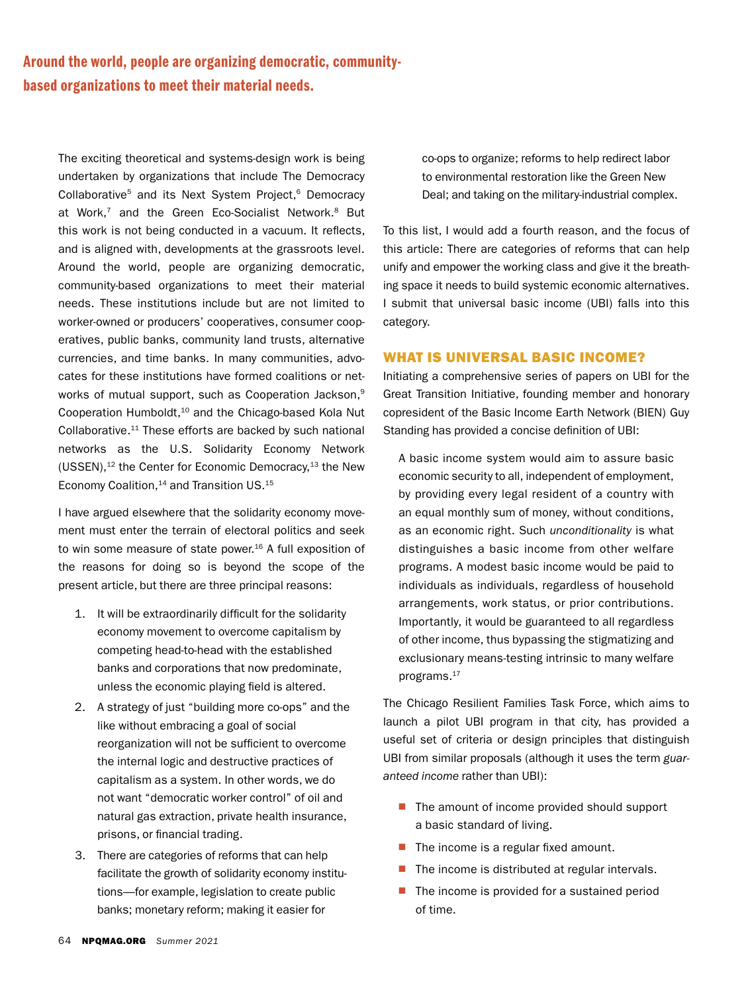## Around the world, people are organizing democratic, communitybased organizations to meet their material needs.

The exciting theoretical and systems-design work is being undertaken by organizations that include The Democracy Collaborative<sup>5</sup> and its Next System Project,<sup>6</sup> Democracy at Work,<sup>7</sup> and the Green Eco-Socialist Network.<sup>8</sup> But this work is not being conducted in a vacuum. It reflects, and is aligned with, developments at the grassroots level. Around the world, people are organizing democratic, community-based organizations to meet their material needs. These institutions include but are not limited to worker-owned or producers' cooperatives, consumer cooperatives, public banks, community land trusts, alternative currencies, and time banks. In many communities, advocates for these institutions have formed coalitions or networks of mutual support, such as Cooperation Jackson,<sup>9</sup> Cooperation Humboldt,<sup>10</sup> and the Chicago-based Kola Nut Collaborative.11 These efforts are backed by such national networks as the U.S. Solidarity Economy Network  $(USSEN)$ ,<sup>12</sup> the Center for Economic Democracy,<sup>13</sup> the New Economy Coalition, $14$  and Transition US. $15$ 

I have argued elsewhere that the solidarity economy movement must enter the terrain of electoral politics and seek to win some measure of state power. $16$  A full exposition of the reasons for doing so is beyond the scope of the present article, but there are three principal reasons:

- 1. It will be extraordinarily difficult for the solidarity economy movement to overcome capitalism by competing head-to-head with the established banks and corporations that now predominate, unless the economic playing field is altered.
- 2. A strategy of just "building more co-ops" and the like without embracing a goal of social reorganization will not be sufficient to overcome the internal logic and destructive practices of capitalism as a system. In other words, we do not want "democratic worker control" of oil and natural gas extraction, private health insurance, prisons, or financial trading.
- 3. There are categories of reforms that can help facilitate the growth of solidarity economy institutions—for example, legislation to create public banks; monetary reform; making it easier for

co-ops to organize; reforms to help redirect labor to environmental restoration like the Green New Deal; and taking on the military-industrial complex.

To this list, I would add a fourth reason, and the focus of this article: There are categories of reforms that can help unify and empower the working class and give it the breathing space it needs to build systemic economic alternatives. I submit that universal basic income (UBI) falls into this category.

#### WHAT IS UNIVERSAL BASIC INCOME?

Initiating a comprehensive series of papers on UBI for the Great Transition Initiative, founding member and honorary copresident of the Basic Income Earth Network (BIEN) Guy Standing has provided a concise definition of UBI:

A basic income system would aim to assure basic economic security to all, independent of employment, by providing every legal resident of a country with an equal monthly sum of money, without conditions, as an economic right. Such *unconditionality* is what distinguishes a basic income from other welfare programs. A modest basic income would be paid to individuals as individuals, regardless of household arrangements, work status, or prior contributions. Importantly, it would be guaranteed to all regardless of other income, thus bypassing the stigmatizing and exclusionary means-testing intrinsic to many welfare programs.17

The Chicago Resilient Families Task Force, which aims to launch a pilot UBI program in that city, has provided a useful set of criteria or design principles that distinguish UBI from similar proposals (although it uses the term *guaranteed income* rather than UBI):

- The amount of income provided should support a basic standard of living.
- The income is a regular fixed amount.
- The income is distributed at regular intervals.
- The income is provided for a sustained period of time.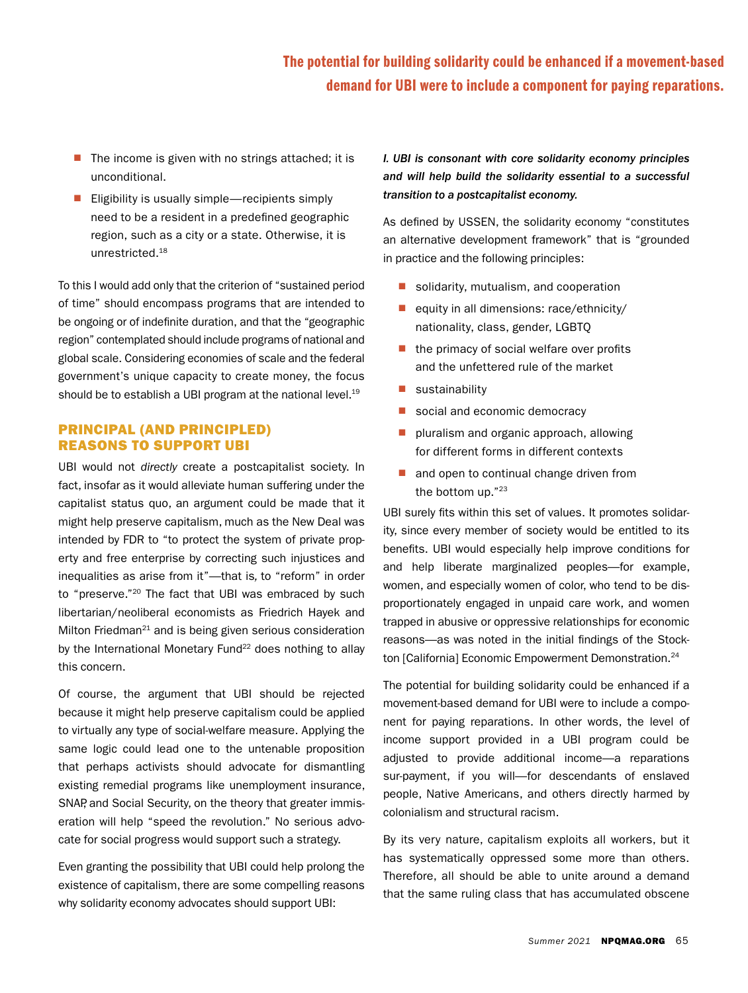## The potential for building solidarity could be enhanced if a movement-based demand for UBI were to include a component for paying reparations.

- The income is given with no strings attached; it is unconditional.
- Eligibility is usually simple—recipients simply need to be a resident in a predefined geographic region, such as a city or a state. Otherwise, it is unrestricted.18

To this I would add only that the criterion of "sustained period of time" should encompass programs that are intended to be ongoing or of indefinite duration, and that the "geographic region" contemplated should include programs of national and global scale. Considering economies of scale and the federal government's unique capacity to create money, the focus should be to establish a UBI program at the national level.<sup>19</sup>

#### PRINCIPAL (AND PRINCIPLED) REASONS TO SUPPORT UBI

UBI would not *directly* create a postcapitalist society. In fact, insofar as it would alleviate human suffering under the capitalist status quo, an argument could be made that it might help preserve capitalism, much as the New Deal was intended by FDR to "to protect the system of private property and free enterprise by correcting such injustices and inequalities as arise from it"—that is*,* to "reform" in order to "preserve."20 The fact that UBI was embraced by such libertarian/neoliberal economists as Friedrich Hayek and Milton Friedman<sup>21</sup> and is being given serious consideration by the International Monetary Fund<sup>22</sup> does nothing to allay this concern.

Of course, the argument that UBI should be rejected because it might help preserve capitalism could be applied to virtually any type of social-welfare measure. Applying the same logic could lead one to the untenable proposition that perhaps activists should advocate for dismantling existing remedial programs like unemployment insurance, SNAP, and Social Security, on the theory that greater immiseration will help "speed the revolution." No serious advocate for social progress would support such a strategy.

Even granting the possibility that UBI could help prolong the existence of capitalism, there are some compelling reasons why solidarity economy advocates should support UBI:

*I. UBI is consonant with core solidarity economy principles and will help build the solidarity essential to a successful transition to a postcapitalist economy.* 

As defined by USSEN, the solidarity economy "constitutes an alternative development framework" that is "grounded in practice and the following principles:

- solidarity, mutualism, and cooperation
- equity in all dimensions: race/ethnicity/ nationality, class, gender, LGBTQ
- the primacy of social welfare over profits and the unfettered rule of the market
- sustainability
- social and economic democracy
- pluralism and organic approach, allowing for different forms in different contexts
- and open to continual change driven from the bottom up."23

UBI surely fits within this set of values. It promotes solidarity, since every member of society would be entitled to its benefits. UBI would especially help improve conditions for and help liberate marginalized peoples—for example, women, and especially women of color, who tend to be disproportionately engaged in unpaid care work, and women trapped in abusive or oppressive relationships for economic reasons—as was noted in the initial findings of the Stockton [California] Economic Empowerment Demonstration.<sup>24</sup>

The potential for building solidarity could be enhanced if a movement-based demand for UBI were to include a component for paying reparations. In other words, the level of income support provided in a UBI program could be adjusted to provide additional income—a reparations sur-payment, if you will—for descendants of enslaved people, Native Americans, and others directly harmed by colonialism and structural racism.

By its very nature, capitalism exploits all workers, but it has systematically oppressed some more than others. Therefore, all should be able to unite around a demand that the same ruling class that has accumulated obscene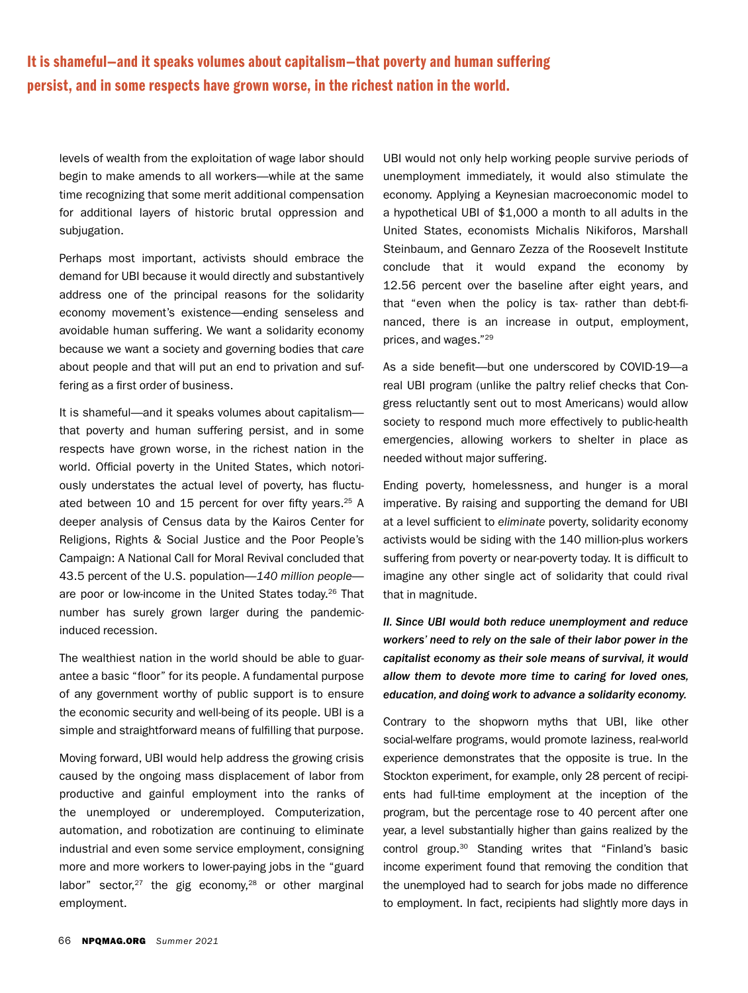levels of wealth from the exploitation of wage labor should begin to make amends to all workers—while at the same time recognizing that some merit additional compensation for additional layers of historic brutal oppression and subjugation.

Perhaps most important, activists should embrace the demand for UBI because it would directly and substantively address one of the principal reasons for the solidarity economy movement's existence—ending senseless and avoidable human suffering. We want a solidarity economy because we want a society and governing bodies that *care* about people and that will put an end to privation and suffering as a first order of business.

It is shameful—and it speaks volumes about capitalism that poverty and human suffering persist, and in some respects have grown worse, in the richest nation in the world. Official poverty in the United States, which notoriously understates the actual level of poverty, has fluctuated between 10 and 15 percent for over fifty years. $25$  A deeper analysis of Census data by the Kairos Center for Religions, Rights & Social Justice and the Poor People's Campaign: A National Call for Moral Revival concluded that 43.5 percent of the U.S. population—*140 million people* are poor or low-income in the United States today.<sup>26</sup> That number has surely grown larger during the pandemicinduced recession.

The wealthiest nation in the world should be able to guarantee a basic "floor" for its people. A fundamental purpose of any government worthy of public support is to ensure the economic security and well-being of its people. UBI is a simple and straightforward means of fulfilling that purpose.

Moving forward, UBI would help address the growing crisis caused by the ongoing mass displacement of labor from productive and gainful employment into the ranks of the unemployed or underemployed. Computerization, automation, and robotization are continuing to eliminate industrial and even some service employment, consigning more and more workers to lower-paying jobs in the "guard labor" sector,<sup>27</sup> the gig economy,<sup>28</sup> or other marginal employment.

UBI would not only help working people survive periods of unemployment immediately, it would also stimulate the economy. Applying a Keynesian macroeconomic model to a hypothetical UBI of \$1,000 a month to all adults in the United States, economists Michalis Nikiforos, Marshall Steinbaum, and Gennaro Zezza of the Roosevelt Institute conclude that it would expand the economy by 12.56 percent over the baseline after eight years, and that "even when the policy is tax- rather than debt-financed, there is an increase in output, employment, prices, and wages."29

As a side benefit—but one underscored by COVID-19—a real UBI program (unlike the paltry relief checks that Congress reluctantly sent out to most Americans) would allow society to respond much more effectively to public-health emergencies, allowing workers to shelter in place as needed without major suffering.

Ending poverty, homelessness, and hunger is a moral imperative. By raising and supporting the demand for UBI at a level sufficient to *eliminate* poverty, solidarity economy activists would be siding with the 140 million-plus workers suffering from poverty or near-poverty today. It is difficult to imagine any other single act of solidarity that could rival that in magnitude.

*II. Since UBI would both reduce unemployment and reduce workers' need to rely on the sale of their labor power in the capitalist economy as their sole means of survival, it would allow them to devote more time to caring for loved ones, education, and doing work to advance a solidarity economy.* 

Contrary to the shopworn myths that UBI, like other social-welfare programs, would promote laziness, real-world experience demonstrates that the opposite is true. In the Stockton experiment, for example, only 28 percent of recipients had full-time employment at the inception of the program, but the percentage rose to 40 percent after one year, a level substantially higher than gains realized by the control group.30 Standing writes that "Finland's basic income experiment found that removing the condition that the unemployed had to search for jobs made no difference to employment. In fact, recipients had slightly more days in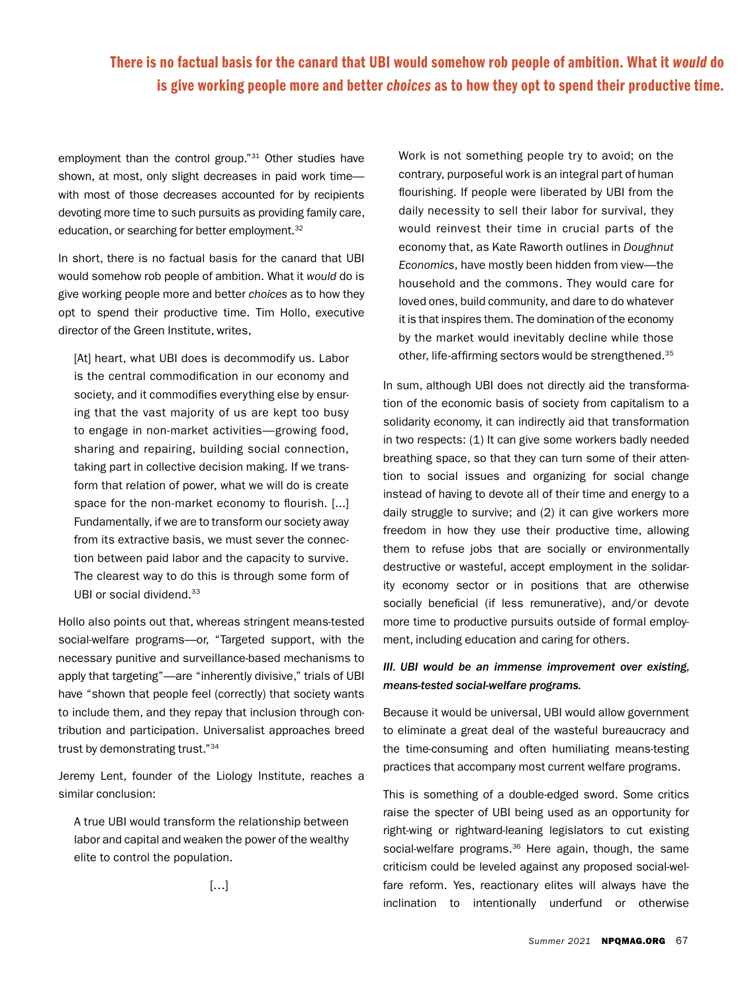## There is no factual basis for the canard that UBI would somehow rob people of ambition. What it *would* do is give working people more and better *choices* as to how they opt to spend their productive time.

employment than the control group."<sup>31</sup> Other studies have shown, at most, only slight decreases in paid work time with most of those decreases accounted for by recipients devoting more time to such pursuits as providing family care, education, or searching for better employment.<sup>32</sup>

In short, there is no factual basis for the canard that UBI would somehow rob people of ambition. What it *would* do is give working people more and better *choices* as to how they opt to spend their productive time. Tim Hollo, executive director of the Green Institute, writes,

[At] heart, what UBI does is decommodify us. Labor is the central commodification in our economy and society, and it commodifies everything else by ensuring that the vast majority of us are kept too busy to engage in non-market activities—growing food, sharing and repairing, building social connection, taking part in collective decision making. If we transform that relation of power, what we will do is create space for the non-market economy to flourish. [...] Fundamentally, if we are to transform our society away from its extractive basis, we must sever the connection between paid labor and the capacity to survive. The clearest way to do this is through some form of UBI or social dividend.<sup>33</sup>

Hollo also points out that, whereas stringent means-tested social-welfare programs—or, "Targeted support, with the necessary punitive and surveillance-based mechanisms to apply that targeting"—are "inherently divisive," trials of UBI have "shown that people feel (correctly) that society wants to include them, and they repay that inclusion through contribution and participation. Universalist approaches breed trust by demonstrating trust."34

Jeremy Lent, founder of the Liology Institute, reaches a similar conclusion:

A true UBI would transform the relationship between labor and capital and weaken the power of the wealthy elite to control the population.

[…]

Work is not something people try to avoid; on the contrary, purposeful work is an integral part of human flourishing. If people were liberated by UBI from the daily necessity to sell their labor for survival, they would reinvest their time in crucial parts of the economy that, as Kate Raworth outlines in *Doughnut Economics*, have mostly been hidden from view—the household and the commons. They would care for loved ones, build community, and dare to do whatever it is that inspires them. The domination of the economy by the market would inevitably decline while those other, life-affirming sectors would be strengthened.35

In sum, although UBI does not directly aid the transformation of the economic basis of society from capitalism to a solidarity economy, it can indirectly aid that transformation in two respects: (1) It can give some workers badly needed breathing space, so that they can turn some of their attention to social issues and organizing for social change instead of having to devote all of their time and energy to a daily struggle to survive; and (2) it can give workers more freedom in how they use their productive time, allowing them to refuse jobs that are socially or environmentally destructive or wasteful, accept employment in the solidarity economy sector or in positions that are otherwise socially beneficial (if less remunerative), and/or devote more time to productive pursuits outside of formal employment, including education and caring for others.

## *III. UBI would be an immense improvement over existing, means-tested social-welfare programs.*

Because it would be universal, UBI would allow government to eliminate a great deal of the wasteful bureaucracy and the time-consuming and often humiliating means-testing practices that accompany most current welfare programs.

This is something of a double-edged sword. Some critics raise the specter of UBI being used as an opportunity for right-wing or rightward-leaning legislators to cut existing social-welfare programs.<sup>36</sup> Here again, though, the same criticism could be leveled against any proposed social-welfare reform. Yes, reactionary elites will always have the inclination to intentionally underfund or otherwise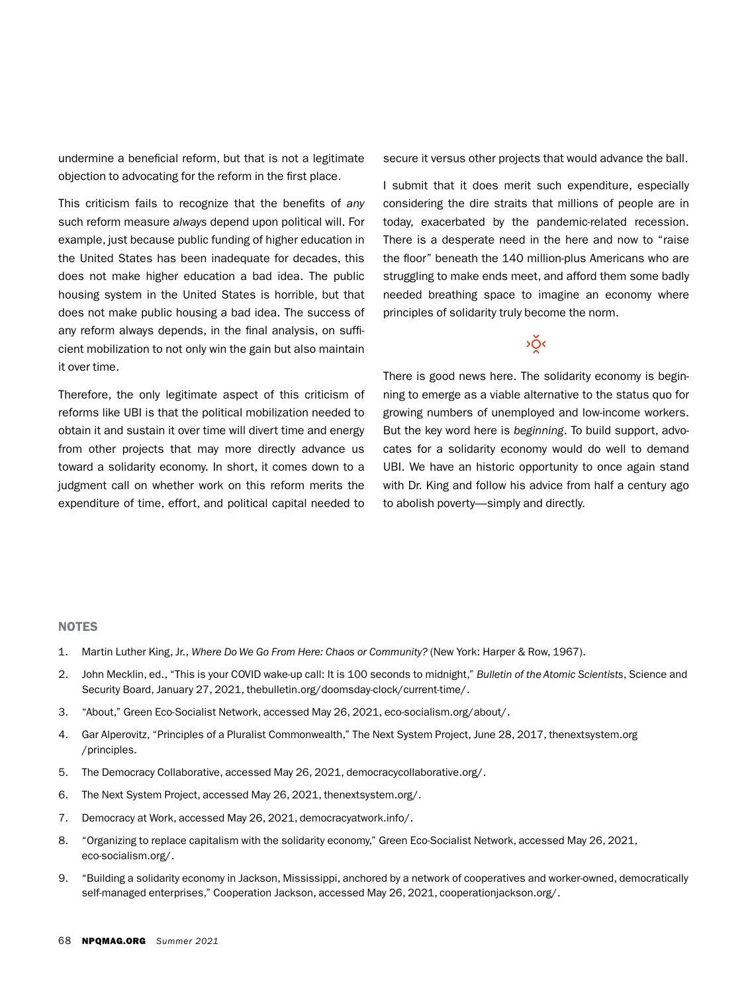undermine a beneficial reform, but that is not a legitimate objection to advocating for the reform in the first place.

This criticism fails to recognize that the benefits of *any* such reform measure *always* depend upon political will. For example, just because public funding of higher education in the United States has been inadequate for decades, this does not make higher education a bad idea. The public housing system in the United States is horrible, but that does not make public housing a bad idea. The success of any reform always depends, in the final analysis, on sufficient mobilization to not only win the gain but also maintain it over time.

Therefore, the only legitimate aspect of this criticism of reforms like UBI is that the political mobilization needed to obtain it and sustain it over time will divert time and energy from other projects that may more directly advance us toward a solidarity economy. In short, it comes down to a judgment call on whether work on this reform merits the expenditure of time, effort, and political capital needed to secure it versus other projects that would advance the ball.

I submit that it does merit such expenditure, especially considering the dire straits that millions of people are in today, exacerbated by the pandemic-related recession. There is a desperate need in the here and now to "raise the floor" beneath the 140 million-plus Americans who are struggling to make ends meet, and afford them some badly needed breathing space to imagine an economy where principles of solidarity truly become the norm.

 $\sum_{i=1}^{N}$ 

There is good news here. The solidarity economy is beginning to emerge as a viable alternative to the status quo for growing numbers of unemployed and low-income workers. But the key word here is *beginning*. To build support, advocates for a solidarity economy would do well to demand UBI. We have an historic opportunity to once again stand with Dr. King and follow his advice from half a century ago to abolish poverty—simply and directly.

#### NOTES

- 1. Martin Luther King, Jr., *Where Do We Go From Here: Chaos or Community?* (New York: Harper & Row, 1967).
- 2. John Mecklin, ed., "This is your COVID wake-up call: It is 100 seconds to midnight," *Bulletin of the Atomic Scientists*, Science and Security Board, January 27, 2021, [thebulletin.org/doomsday-clock/current-time/](http://thebulletin.org/doomsday-clock/current-time/).
- 3. "About," Green Eco-Socialist Network, accessed May 26, 2021, [eco-socialism.org/about/.](http://eco-socialism.org/about/)
- 4. Gar Alperovitz, "Principles of a Pluralist Commonwealth," The Next System Project, June 28, 2017, [thenextsystem.org](http://thenextsystem.org/principles) /principles.
- 5. The Democracy Collaborative, accessed May 26, 2021, [democracycollaborative.org/](http://democracycollaborative.org/).
- 6. The Next System Project, accessed May 26, 2021, [thenextsystem.org/](http://thenextsystem.org/).
- 7. Democracy at Work, accessed May 26, 2021, [democracyatwork.info/](http://democracyatwork.info/).
- 8. "Organizing to replace capitalism with the solidarity economy," Green Eco-Socialist Network, accessed May 26, 2021, [eco-socialism.org/.](http://eco-socialism.org/)
- 9. "Building a solidarity economy in Jackson, Mississippi, anchored by a network of cooperatives and worker-owned, democratically self-managed enterprises," Cooperation Jackson, accessed May 26, 2021, [cooperationjackson.org/](http://cooperationjackson.org/).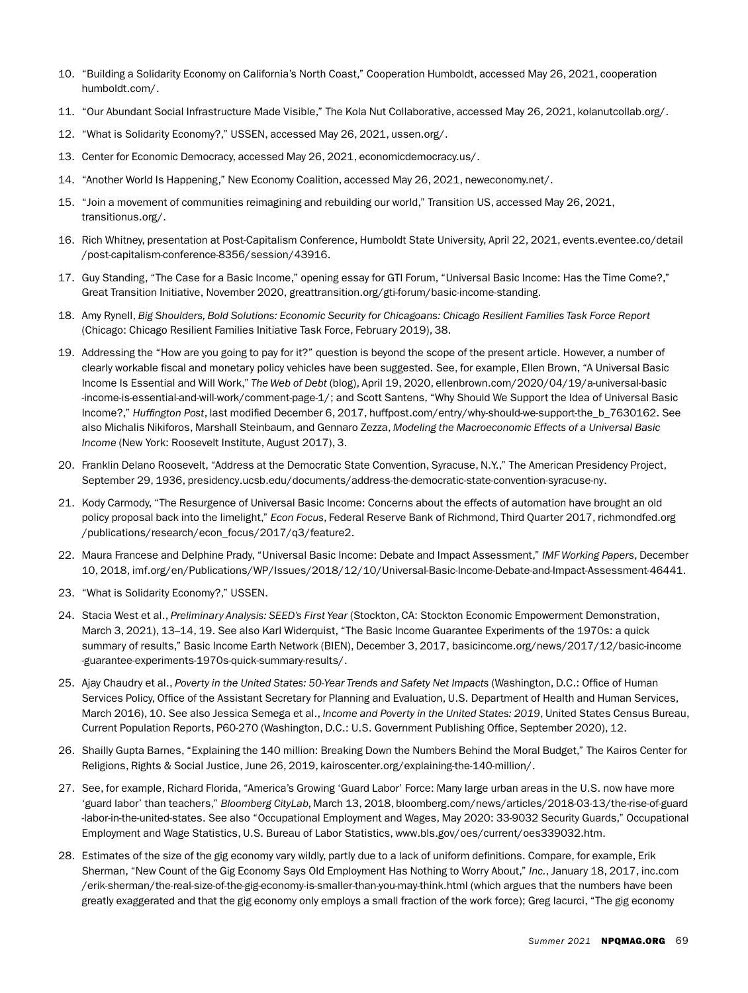- 10. "Building a Solidarity Economy on California's North Coast," Cooperation Humboldt, accessed May 26, 2021, [cooperation](http://cooperationhumboldt.com/) [humboldt.com/](http://cooperationhumboldt.com/).
- 11. "Our Abundant Social Infrastructure Made Visible," The Kola Nut Collaborative, accessed May 26, 2021, [kolanutcollab.org/.](http://kolanutcollab.org/)
- 12. "What is Solidarity Economy?," USSEN, accessed May 26, 2021, [ussen.org/.](http://ussen.org/)
- 13. Center for Economic Democracy, accessed May 26, 2021, [economicdemocracy.us/](http://economicdemocracy.us/).
- 14. "Another World Is Happening," New Economy Coalition, accessed May 26, 2021, [neweconomy.net/.](http://neweconomy.net/)
- 15. "Join a movement of communities reimagining and rebuilding our world," Transition US, accessed May 26, 2021, [transitionus.org/.](http://transitionus.org/)
- 16. Rich Whitney, presentation at Post-Capitalism Conference, Humboldt State University, April 22, 2021, [events.eventee.co/detail](http://events.eventee.co/detail/post-capitalism-conference-8356/session/43916) /post-capitalism-conference-8356/session/43916.
- 17. Guy Standing, "The Case for a Basic Income," opening essay for GTI Forum, "Universal Basic Income: Has the Time Come?," Great Transition Initiative, November 2020, [greattransition.org/gti-forum/basic-income-standing](http://greattransition.org/gti-forum/basic-income-standing).
- 18. Amy Rynell, *Big Shoulders, Bold Solutions: Economic Security for Chicagoans: Chicago Resilient Families Task Force Report* (Chicago: Chicago Resilient Families Initiative Task Force, February 2019), 38.
- 19. Addressing the "How are you going to pay for it?" question is beyond the scope of the present article. However, a number of clearly workable fiscal and monetary policy vehicles have been suggested. See, for example, Ellen Brown, "A Universal Basic Income Is Essential and Will Work," *The Web of Debt* (blog), April 19, 2020, [ellenbrown.com/2020/04/19/a-universal-basic](http://ellenbrown.com/2020/04/19/a-universal-basic) -income-is-essential-and-will-work/comment-page-1/; and Scott Santens, "Why Should We Support the Idea of Universal Basic Income?," *Huffington Post*, last modified December 6, 2017, [huffpost.com/entry/why-should-we-support-the\\_b\\_7630162.](http://huffpost.com/entry/why-should-we-support-the_b_7630162) See also Michalis Nikiforos, Marshall Steinbaum, and Gennaro Zezza, *Modeling the Macroeconomic Effects of a Universal Basic Income* (New York: Roosevelt Institute, August 2017), 3.
- 20. Franklin Delano Roosevelt, "Address at the Democratic State Convention, Syracuse, N.Y.," The American Presidency Project, September 29, 1936, [presidency.ucsb.edu/documents/address-the-democratic-state-convention-syracuse-ny](http://presidency.ucsb.edu/documents/address-the-democratic-state-convention-syracuse-ny).
- 21. Kody Carmody, "The Resurgence of Universal Basic Income: Concerns about the effects of automation have brought an old policy proposal back into the limelight," *Econ Focus*, Federal Reserve Bank of Richmond, Third Quarter 2017, [richmondfed.org](http://richmondfed.org/publications/research/econ_focus/2017/q3/feature2) [/publications/research/econ\\_focus/2017/q3/feature2.](http://richmondfed.org/publications/research/econ_focus/2017/q3/feature2)
- 22. Maura Francese and Delphine Prady, "Universal Basic Income: Debate and Impact Assessment," *IMF Working Papers*, December 10, 2018, [imf.org/en/Publications/WP/Issues/2018/12/10/Universal-Basic-Income-Debate-and-Impact-Assessment-46441](http://imf.org/en/Publications/WP/Issues/2018/12/10/Universal-Basic-Income-Debate-and-Impact-Assessment-46441).
- 23. "What is Solidarity Economy?," USSEN.
- 24. Stacia West et al., *Preliminary Analysis: SEED's First Year* (Stockton, CA: Stockton Economic Empowerment Demonstration, March 3, 2021), 13–14, 19. See also Karl Widerquist, "The Basic Income Guarantee Experiments of the 1970s: a quick summary of results," Basic Income Earth Network (BIEN), December 3, 2017, [basicincome.org/news/2017/12/basic-income](http://basicincome.org/news/2017/12/basic-income-guarantee-experiments-1970s-quick-summary-results/) [-guarantee-experiments-1970s-quick-summary-results/](http://basicincome.org/news/2017/12/basic-income-guarantee-experiments-1970s-quick-summary-results/).
- 25. Ajay Chaudry et al., *Poverty in the United States: 50-Year Trends and Safety Net Impacts* (Washington, D.C.: Office of Human Services Policy, Office of the Assistant Secretary for Planning and Evaluation, U.S. Department of Health and Human Services, March 2016), 10. See also Jessica Semega et al., *Income and Poverty in the United States: 2019*, United States Census Bureau, Current Population Reports, P60-270 (Washington, D.C.: U.S. Government Publishing Office, September 2020), 12.
- 26. Shailly Gupta Barnes, "Explaining the 140 million: Breaking Down the Numbers Behind the Moral Budget," The Kairos Center for Religions, Rights & Social Justice, June 26, 2019, [kairoscenter.org/explaining-the-140-million/.](http://kairoscenter.org/explaining-the-140-million/)
- 27. See, for example, Richard Florida, "America's Growing 'Guard Labor' Force: Many large urban areas in the U.S. now have more 'guard labor' than teachers," *Bloomberg CityLab*, March 13, 2018, [bloomberg.com/news/articles/2018-03-13/the-rise-of-guard](http://bloomberg.com/news/articles/2018-03-13/the-rise-of-guard-labor-in-the-united-states) [-labor-in-the-united-states](http://bloomberg.com/news/articles/2018-03-13/the-rise-of-guard-labor-in-the-united-states). See also "Occupational Employment and Wages, May 2020: 33-9032 Security Guards," Occupational Employment and Wage Statistics, U.S. Bureau of Labor Statistics, [www.bls.gov/oes/current/oes339032.htm](http://www.bls.gov/oes/current/oes339032.htm).
- 28. Estimates of the size of the gig economy vary wildly, partly due to a lack of uniform definitions. Compare, for example, Erik Sherman, "New Count of the Gig Economy Says Old Employment Has Nothing to Worry About," *Inc.*, January 18, 2017, [inc.com](http://inc.com/erik-sherman/the-real-size-of-the-gig-economy-is-smaller-than-you-may-think.html) [/erik-sherman/the-real-size-of-the-gig-economy-is-smaller-than-you-may-think.html](http://inc.com/erik-sherman/the-real-size-of-the-gig-economy-is-smaller-than-you-may-think.html) (which argues that the numbers have been greatly exaggerated and that the gig economy only employs a small fraction of the work force); Greg Iacurci, "The gig economy